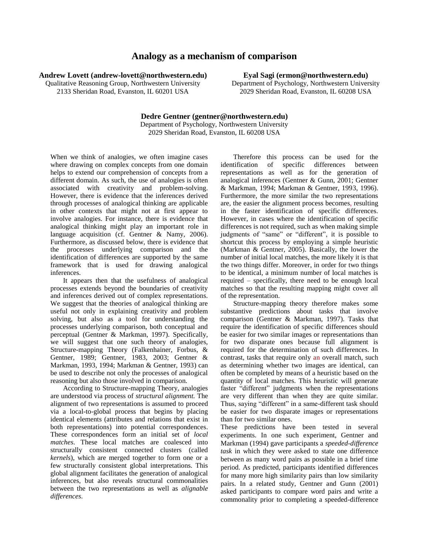## **Analogy as a mechanism of comparison**

**Andrew Lovett (andrew-lovett@northwestern.edu)**

Qualitative Reasoning Group, Northwestern University 2133 Sheridan Road, Evanston, IL 60201 USA

**Eyal Sagi (ermon@northwestern.edu)**

Department of Psychology, Northwestern University 2029 Sheridan Road, Evanston, IL 60208 USA

**Dedre Gentner (gentner@northwestern.edu)** Department of Psychology, Northwestern University 2029 Sheridan Road, Evanston, IL 60208 USA

When we think of analogies, we often imagine cases where drawing on complex concepts from one domain helps to extend our comprehension of concepts from a different domain. As such, the use of analogies is often associated with creativity and problem-solving. However, there is evidence that the inferences derived through processes of analogical thinking are applicable in other contexts that might not at first appear to involve analogies. For instance, there is evidence that analogical thinking might play an important role in language acquisition (cf. Gentner & Namy, 2006). Furthermore, as discussed below, there is evidence that the processes underlying comparison and the identification of differences are supported by the same framework that is used for drawing analogical inferences.

It appears then that the usefulness of analogical processes extends beyond the boundaries of creativity and inferences derived out of complex representations. We suggest that the theories of analogical thinking are useful not only in explaining creativity and problem solving, but also as a tool for understanding the processes underlying comparison, both conceptual and perceptual (Gentner & Markman, 1997). Specifically, we will suggest that one such theory of analogies, Structure-mapping Theory (Falkenhainer, Forbus, & Gentner, 1989; Gentner, 1983, 2003; Gentner & Markman, 1993, 1994; Markman & Gentner, 1993) can be used to describe not only the processes of analogical reasoning but also those involved in comparison.

According to Structure-mapping Theory, analogies are understood via process of *structural alignment.* The alignment of two representations is assumed to proceed via a local-to-global process that begins by placing identical elements (attributes and relations that exist in both representations) into potential correspondences. These correspondences form an initial set of *local matches*. These local matches are coalesced into structurally consistent connected clusters (called *kernels*), which are merged together to form one or a few structurally consistent global interpretations. This global alignment facilitates the generation of analogical inferences, but also reveals structural commonalities between the two representations as well as *alignable differences*.

Therefore this process can be used for the identification of specific differences between representations as well as for the generation of analogical inferences (Gentner & Gunn, 2001; Gentner & Markman, 1994; Markman & Gentner, 1993, 1996). Furthermore, the more similar the two representations are, the easier the alignment process becomes, resulting in the faster identification of specific differences. However, in cases where the identification of specific differences is not required, such as when making simple judgments of "same" or "different", it is possible to shortcut this process by employing a simple heuristic (Markman & Gentner, 2005). Basically, the lower the number of initial local matches, the more likely it is that the two things differ. Moreover, in order for two things to be identical, a minimum number of local matches is required – specifically, there need to be enough local matches so that the resulting mapping might cover all of the representation.

Structure-mapping theory therefore makes some substantive predictions about tasks that involve comparison (Gentner & Markman, 1997). Tasks that require the identification of specific differences should be easier for two similar images or representations than for two disparate ones because full alignment is required for the determination of such differences. In contrast, tasks that require only an overall match, such as determining whether two images are identical, can often be completed by means of a heuristic based on the quantity of local matches. This heuristic will generate faster "different" judgments when the representations are very different than when they are quite similar. Thus, saying "different" in a same-different task should be easier for two disparate images or representations than for two similar ones.

These predictions have been tested in several experiments. In one such experiment, Gentner and Markman (1994) gave participants a *speeded-difference task* in which they were asked to state one difference between as many word pairs as possible in a brief time period. As predicted, participants identified differences for many more high similarity pairs than low similarity pairs. In a related study, Gentner and Gunn (2001) asked participants to compare word pairs and write a commonality prior to completing a speeded-difference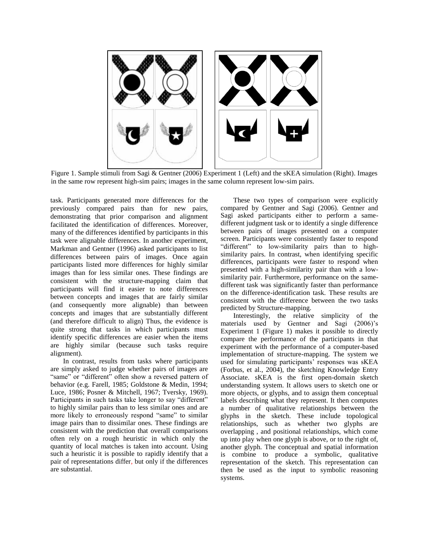

Figure 1. Sample stimuli from Sagi & Gentner (2006) Experiment 1 (Left) and the sKEA simulation (Right). Images in the same row represent high-sim pairs; images in the same column represent low-sim pairs.

task. Participants generated more differences for the previously compared pairs than for new pairs, demonstrating that prior comparison and alignment facilitated the identification of differences. Moreover, many of the differences identified by participants in this task were alignable differences. In another experiment, Markman and Gentner (1996) asked participants to list differences between pairs of images. Once again participants listed more differences for highly similar images than for less similar ones. These findings are consistent with the structure-mapping claim that participants will find it easier to note differences between concepts and images that are fairly similar (and consequently more alignable) than between concepts and images that are substantially different (and therefore difficult to align) Thus, the evidence is quite strong that tasks in which participants must identify specific differences are easier when the items are highly similar (because such tasks require alignment).

In contrast, results from tasks where participants are simply asked to judge whether pairs of images are "same" or "different" often show a reversed pattern of behavior (e.g. Farell, 1985; Goldstone & Medin, 1994; Luce, 1986; Posner & Mitchell, 1967; Tversky, 1969). Participants in such tasks take longer to say "different" to highly similar pairs than to less similar ones and are more likely to erroneously respond "same" to similar image pairs than to dissimilar ones. These findings are consistent with the prediction that overall comparisons often rely on a rough heuristic in which only the quantity of local matches is taken into account. Using such a heuristic it is possible to rapidly identify that a pair of representations differ, but only if the differences are substantial.

These two types of comparison were explicitly compared by Gentner and Sagi (2006). Gentner and Sagi asked participants either to perform a samedifferent judgment task or to identify a single difference between pairs of images presented on a computer screen. Participants were consistently faster to respond "different" to low-similarity pairs than to highsimilarity pairs. In contrast, when identifying specific differences, participants were faster to respond when presented with a high-similarity pair than with a lowsimilarity pair. Furthermore, performance on the samedifferent task was significantly faster than performance on the difference-identification task. These results are consistent with the difference between the two tasks predicted by Structure-mapping.

Interestingly, the relative simplicity of the materials used by Gentner and Sagi (2006)'s Experiment 1 (Figure 1) makes it possible to directly compare the performance of the participants in that experiment with the performance of a computer-based implementation of structure-mapping. The system we used for simulating participants' responses was sKEA (Forbus, et al., 2004), the sketching Knowledge Entry Associate. sKEA is the first open-domain sketch understanding system. It allows users to sketch one or more objects, or glyphs, and to assign them conceptual labels describing what they represent. It then computes a number of qualitative relationships between the glyphs in the sketch. These include topological relationships, such as whether two glyphs are overlapping , and positional relationships, which come up into play when one glyph is above, or to the right of, another glyph. The conceptual and spatial information is combine to produce a symbolic, qualitative representation of the sketch. This representation can then be used as the input to symbolic reasoning systems.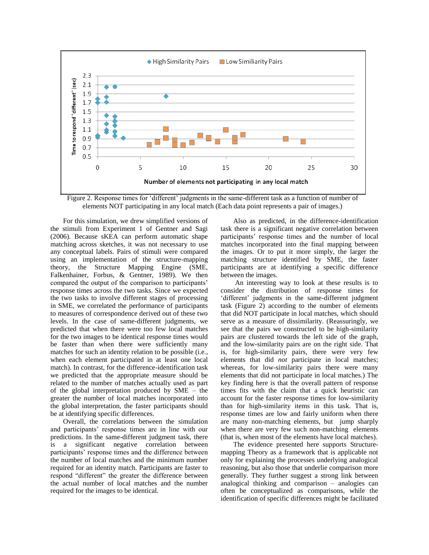

Figure 2. Response times for "different" judgments in the same-different task as a function of number of elements NOT participating in any local match (Each data point represents a pair of images.)

For this simulation, we drew simplified versions of the stimuli from Experiment 1 of Gentner and Sagi (2006). Because sKEA can perform automatic shape matching across sketches, it was not necessary to use any conceptual labels. Pairs of stimuli were compared using an implementation of the structure-mapping theory, the Structure Mapping Engine (SME, Falkenhainer, Forbus, & Gentner, 1989). We then compared the output of the comparison to participants" response times across the two tasks. Since we expected the two tasks to involve different stages of processing in SME, we correlated the performance of participants to measures of correspondence derived out of these two levels. In the case of same-different judgments, we predicted that when there were too few local matches for the two images to be identical response times would be faster than when there were sufficiently many matches for such an identity relation to be possible (i.e., when each element participated in at least one local match). In contrast, for the difference-identification task we predicted that the appropriate measure should be related to the number of matches actually used as part of the global interpretation produced by SME – the greater the number of local matches incorporated into the global interpretation, the faster participants should be at identifying specific differences.

Overall, the correlations between the simulation and participants' response times are in line with our predictions. In the same-different judgment task, there is a significant negative correlation between participants' response times and the difference between the number of local matches and the minimum number required for an identity match. Participants are faster to respond "different" the greater the difference between the actual number of local matches and the number required for the images to be identical.

Also as predicted, in the difference-identification task there is a significant negative correlation between participants' response times and the number of local matches incorporated into the final mapping between the images. Or to put it more simply, the larger the matching structure identified by SME, the faster participants are at identifying a specific difference between the images.

An interesting way to look at these results is to consider the distribution of response times for 'different' judgments in the same-different judgment task (Figure 2) according to the number of elements that did NOT participate in local matches, which should serve as a measure of dissimilarity. (Reassuringly, we see that the pairs we constructed to be high-similarity pairs are clustered towards the left side of the graph, and the low-similarity pairs are on the right side. That is, for high-similarity pairs, there were very few elements that did *not* participate in local matches; whereas, for low-similarity pairs there were many elements that did not participate in local matches.) The key finding here is that the overall pattern of response times fits with the claim that a quick heuristic can account for the faster response times for low-similarity than for high-similarity items in this task. That is, response times are low and fairly uniform when there are many non-matching elements, but jump sharply when there are very few such non-matching elements (that is, when most of the elements have local matches).

The evidence presented here supports Structuremapping Theory as a framework that is applicable not only for explaining the processes underlying analogical reasoning, but also those that underlie comparison more generally. They further suggest a strong link between analogical thinking and comparison – analogies can often be conceptualized as comparisons, while the identification of specific differences might be facilitated